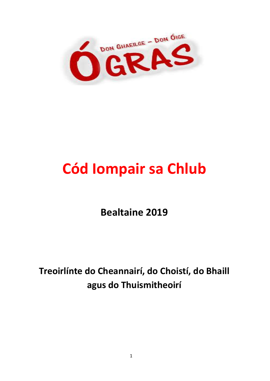

# **Cód Iompair sa Chlub**

**Bealtaine 2019**

**Treoirlínte do Cheannairí, do Choistí, do Bhaill agus do Thuismitheoirí**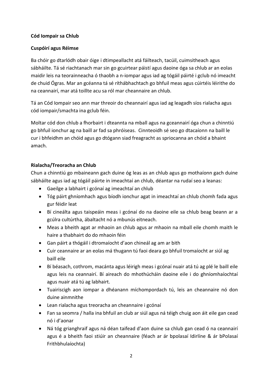#### **Cód Iompair sa Chlub**

#### **Cuspóirí agus Réimse**

Ba chóir go dtarlódh obair óige i dtimpeallacht atá fáilteach, tacúil, cuimsitheach agus sábháilte. Tá sé riachtanach mar sin go gcuirtear páistí agus daoine óga sa chlub ar an eolas maidir leis na teorainneacha ó thaobh a n-iompar agus iad ag tógáil páirté i gclub nó imeacht de chuid Ógras. Mar an gcéanna tá sé ríthábhachtach go bhfuil meas agus cúirtéis léirithe do na ceannairí, mar atá toillte acu sa ról mar cheannaire an chlub.

Tá an Cód Iompair seo ann mar threoir do cheannairí agus iad ag leagadh síos rialacha agus cód iompair/smachta ina gclub féin.

Moltar cód don chlub a fhorbairt i dteannta na mball agus na gceannairí óga chun a chinntiú go bhfuil ionchur ag na baill ar fad sa phróiseas. Cinnteoidh sé seo go dtacaíonn na baill le cur i bhfeidhm an chóid agus go dtógann siad freagracht as spriocanna an chóid a bhaint amach.

#### **Rialacha/Treoracha an Chlub**

Chun a chinntiú go mbaineann gach duine óg leas as an chlub agus go mothaíonn gach duine sábháilte agus iad ag tógáil páirte in imeachtaí an chlub, déantar na rudaí seo a leanas:

- Gaeilge a labhairt i gcónaí ag imeachtaí an chlub
- Tóg páirt ghníomhach agus bíodh ionchur agat in imeachtaí an chlub chomh fada agus gur féidir leat
- Bí cineálta agus taispeáin meas i gcónaí do na daoine eile sa chlub beag beann ar a gcúlra cultúrtha, ábaltacht nó a mbunús eitneach.
- Meas a bheith agat ar mhaoin an chlub agus ar mhaoin na mball eile chomh maith le haire a thabhairt do do mhaoin féin
- Gan páirt a thógáil i dtromaíocht d'aon chineál ag am ar bith
- Cuir ceannaire ar an eolas má thugann tú faoi deara go bhfuil tromaíocht ar siúl ag baill eile
- Bí béasach, cothrom, macánta agus léirigh meas i gcónaí nuair atá tú ag plé le baill eile agus leis na ceannairí. Bí aireach do mhothúcháin daoine eile i do ghníomhaíochtaí agus nuair atá tú ag labhairt.
- Tuairiscigh aon iompar a dhéanann míchompordach tú, leis an cheannaire nó don duine ainmnithe
- Lean rialacha agus treoracha an cheannaire i gcónaí
- Fan sa seomra / halla ina bhfuil an club ar siúl agus ná téigh chuig aon áit eile gan cead nó i d'aonar
- Ná tóg grianghraif agus ná déan taifead d'aon duine sa chlub gan cead ó na ceannairí agus é a bheith faoi stiúir an cheannaire (féach ar ár bpolasaí Idirlíne & ár bPolasaí Frithbhulaíochta)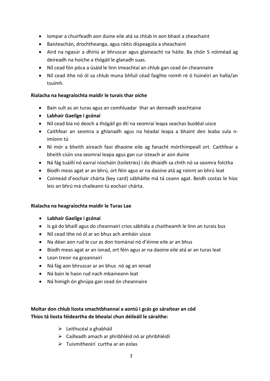- Iompar a chuirfeadh aon duine eile atá sa chlub in aon bhaol a sheachaint
- Baisteachán, drochtheanga, agus ráitis díspeagúla a sheachaint
- Aird na ngasúr a dhíriú ar bhruscar agus glaineacht na háite. Ba chóir 5 nóiméad ag deireadh na hoíche a thógáil le glanadh suas.
- Níl cead fón póca a úsáid le linn imeachtaí an chlub gan cead ón cheannaire
- Níl cead ithe nó ól sa chlub muna bhfuil céad faighte roimh ré ó húinéirí an halla/an tsuímh.

#### **Rialacha na heagraíochta maidir le turais thar oíche**

- Bain sult as an turas agus an comhluadar thar an deireadh seachtaine
- **Labhair Gaeilge i gcónaí**
- Níl cead bia nó deoch a thógáil go dtí na seomraí leapa seachas buidéal uisce
- Caithfear an seomra a ghlanadh agus na héadaí leapa a bhaint den leaba sula nimíonn tú
- Ní mór a bheith aireach faoi dhaoine eile ag fanacht mórthimpeall ort. Caithfear a bheith ciúin sna seomraí leapa agus gan cur isteach ar aon duine
- Ná fág tuáillí nó earraí níocháin (toiletries) i do dhiaidh sa chith nó sa seomra folctha
- Bíodh meas agat ar an bhrú, ort féin agus ar na daoine atá ag roinnt an bhrú leat
- Coimeád d'eochair chárta (key card) sábháilte má tá ceann agat. Beidh costas le híoc leis an bhrú má chaileann tú eochair chárta.

#### **Rialacha na heagraíochta maidir le Turas Lae**

- **Labhair Gaeilge i gcónaí**
- Is gá do bhaill agus do cheannairí crios sábhála a chaitheamh le linn an turais bus
- Níl cead ithe nó ól ar an bhus ach amháin uisce
- Na déan aon rud le cur as don tiománaí nó d'éinne eile ar an bhus
- Bíodh meas agat ar an ionad, ort féin agus ar na daoine eile atá ar an turas leat
- Lean treoir na gceannairí
- Ná fág aon bhruscar ar an bhus nó ag an ionad
- Ná bain le haon rud nach mbaineann leat
- Ná himigh ón ghrúpa gan cead ón cheannaire

## **Moltar don chlub liosta smachtbhannaí a aontú i gcás go sáraítear an cód Thíos tá liosta féideartha de bhealaí chun déileáil le sáraithe:**

- Leithscéal a ghabháil
- $\triangleright$  Cailleadh amach ar phribhléid nó ar phribhléidí
- $\triangleright$  Tuismitheoirí curtha ar an eolas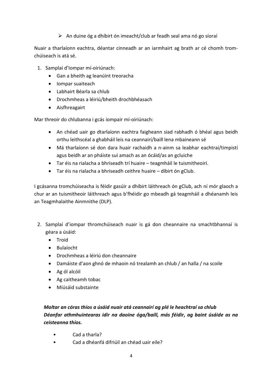### $\triangleright$  An duine óg a dhíbirt ón imeacht/club ar feadh seal ama nó go síoraí

Nuair a tharlaíonn eachtra, déantar cinneadh ar an iarmhairt ag brath ar cé chomh tromchúiseach is atá sé.

- 1. Samplaí d'Iompar mí-oiriúnach:
	- Gan a bheith ag leanúint treoracha
	- Iompar suaiteach
	- Labhairt Béarla sa chlub
	- Drochmheas a léiriú/bheith drochbhéasach
	- Aisfhreagairt

Mar threoir do chlubanna i gcás iompair mí-oiriúnach:

- An chéad uair go dtarlaíonn eachtra faigheann siad rabhadh ó bhéal agus beidh orthu leithscéal a ghabháil leis na ceannairí/baill lena mbaineann sé
- Má tharlaíonn sé don dara huair rachaidh a n-ainm sa leabhar eachtraí/timpistí agus beidh ar an pháiste suí amach as an ócáid/as an gcluiche
- Tar éis na rialacha a bhriseadh trí huaire teagmháil le tuismitheoirí.
- Tar éis na rialacha a bhriseadh ceithre huaire díbirt ón gClub.

I gcásanna tromchúiseacha is féidir gasúir a dhíbirt láithreach ón gClub, ach ní mór glaoch a chur ar an tuismitheoir láithreach agus b'fhéidir go mbeadh gá teagmháil a dhéanamh leis an Teagmhalaithe Ainmnithe (DLP).

- 2. Samplaí d'iompar thromchúiseach nuair is gá don cheannaire na smachtbhannaí is géara a úsáid:
	- Troid
	- Bulaíocht
	- Drochmheas a léiriú don cheannaire
	- Damáiste d'aon ghnó de mhaoin nó trealamh an chlub / an halla / na scoile
	- Ag ól alcóil
	- Ag caitheamh tobac
	- Míúsáid substainte

## *Moltar an córas thíos a úsáid nuair atá ceannairí ag plé le heachtraí sa chlub Déanfar athmhuintearas idir na daoine óga/baill, más féidir, ag baint úsáide as na ceisteanna thíos.*

- Cad a tharla?
- Cad a dhéanfá difriúil an chéad uair eile?